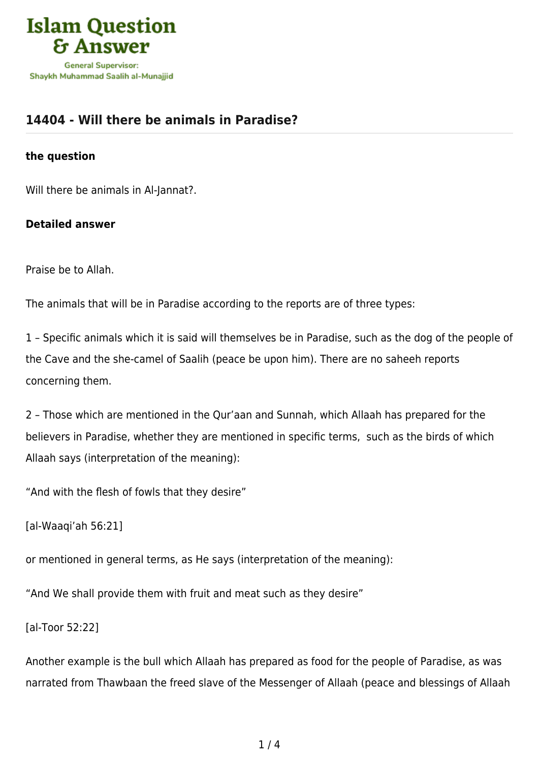

## **[14404 - Will there be animals in Paradise?](https://islamqa.com/en/answers/14404/will-there-be-animals-in-paradise)**

## **the question**

Will there be animals in Al-Jannat?.

## **Detailed answer**

Praise be to Allah.

The animals that will be in Paradise according to the reports are of three types:

1 – Specific animals which it is said will themselves be in Paradise, such as the dog of the people of the Cave and the she-camel of Saalih (peace be upon him). There are no saheeh reports concerning them.

2 – Those which are mentioned in the Qur'aan and Sunnah, which Allaah has prepared for the believers in Paradise, whether they are mentioned in specific terms, such as the birds of which Allaah says (interpretation of the meaning):

"And with the flesh of fowls that they desire"

[al-Waaqi'ah 56:21]

or mentioned in general terms, as He says (interpretation of the meaning):

"And We shall provide them with fruit and meat such as they desire"

[al-Toor 52:22]

Another example is the bull which Allaah has prepared as food for the people of Paradise, as was narrated from Thawbaan the freed slave of the Messenger of Allaah (peace and blessings of Allaah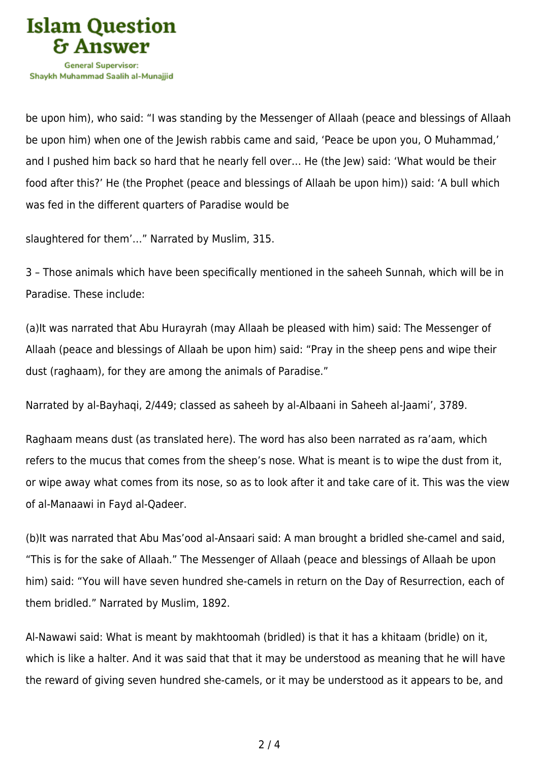

be upon him), who said: "I was standing by the Messenger of Allaah (peace and blessings of Allaah be upon him) when one of the Jewish rabbis came and said, 'Peace be upon you, O Muhammad,' and I pushed him back so hard that he nearly fell over… He (the Jew) said: 'What would be their food after this?' He (the Prophet (peace and blessings of Allaah be upon him)) said: 'A bull which was fed in the different quarters of Paradise would be

slaughtered for them'…" Narrated by Muslim, 315.

3 – Those animals which have been specifically mentioned in the saheeh Sunnah, which will be in Paradise. These include:

(a)It was narrated that Abu Hurayrah (may Allaah be pleased with him) said: The Messenger of Allaah (peace and blessings of Allaah be upon him) said: "Pray in the sheep pens and wipe their dust (raghaam), for they are among the animals of Paradise."

Narrated by al-Bayhaqi, 2/449; classed as saheeh by al-Albaani in Saheeh al-Jaami', 3789.

Raghaam means dust (as translated here). The word has also been narrated as ra'aam, which refers to the mucus that comes from the sheep's nose. What is meant is to wipe the dust from it, or wipe away what comes from its nose, so as to look after it and take care of it. This was the view of al-Manaawi in Fayd al-Qadeer.

(b)It was narrated that Abu Mas'ood al-Ansaari said: A man brought a bridled she-camel and said, "This is for the sake of Allaah." The Messenger of Allaah (peace and blessings of Allaah be upon him) said: "You will have seven hundred she-camels in return on the Day of Resurrection, each of them bridled." Narrated by Muslim, 1892.

Al-Nawawi said: What is meant by makhtoomah (bridled) is that it has a khitaam (bridle) on it, which is like a halter. And it was said that that it may be understood as meaning that he will have the reward of giving seven hundred she-camels, or it may be understood as it appears to be, and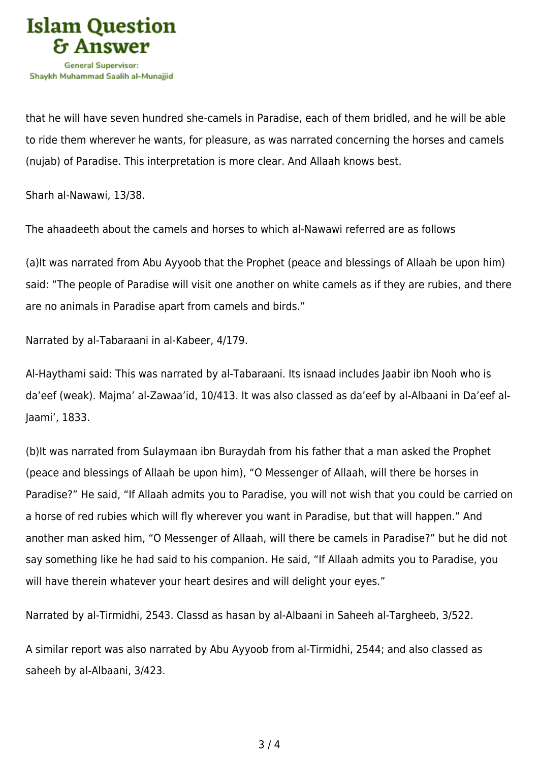

that he will have seven hundred she-camels in Paradise, each of them bridled, and he will be able to ride them wherever he wants, for pleasure, as was narrated concerning the horses and camels (nujab) of Paradise. This interpretation is more clear. And Allaah knows best.

Sharh al-Nawawi, 13/38.

The ahaadeeth about the camels and horses to which al-Nawawi referred are as follows

(a)It was narrated from Abu Ayyoob that the Prophet (peace and blessings of Allaah be upon him) said: "The people of Paradise will visit one another on white camels as if they are rubies, and there are no animals in Paradise apart from camels and birds."

Narrated by al-Tabaraani in al-Kabeer, 4/179.

Al-Haythami said: This was narrated by al-Tabaraani. Its isnaad includes Jaabir ibn Nooh who is da'eef (weak). Majma' al-Zawaa'id, 10/413. It was also classed as da'eef by al-Albaani in Da'eef al-Jaami', 1833.

(b)It was narrated from Sulaymaan ibn Buraydah from his father that a man asked the Prophet (peace and blessings of Allaah be upon him), "O Messenger of Allaah, will there be horses in Paradise?" He said, "If Allaah admits you to Paradise, you will not wish that you could be carried on a horse of red rubies which will fly wherever you want in Paradise, but that will happen." And another man asked him, "O Messenger of Allaah, will there be camels in Paradise?" but he did not say something like he had said to his companion. He said, "If Allaah admits you to Paradise, you will have therein whatever your heart desires and will delight your eyes."

Narrated by al-Tirmidhi, 2543. Classd as hasan by al-Albaani in Saheeh al-Targheeb, 3/522.

A similar report was also narrated by Abu Ayyoob from al-Tirmidhi, 2544; and also classed as saheeh by al-Albaani, 3/423.